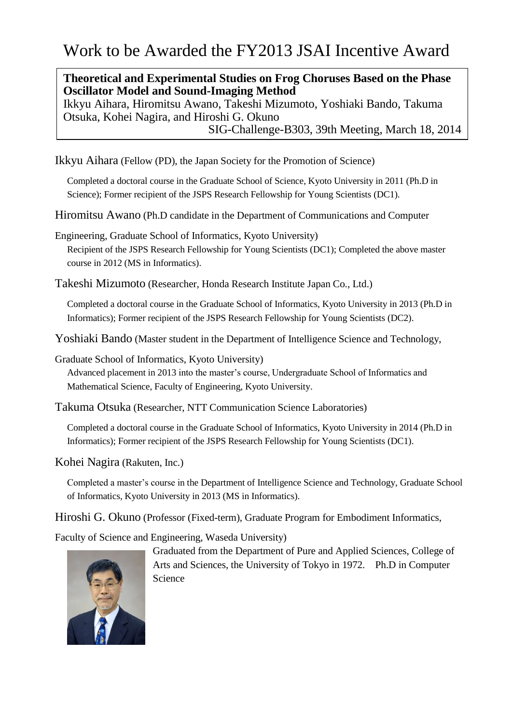## **Theoretical and Experimental Studies on Frog Choruses Based on the Phase Oscillator Model and Sound-Imaging Method**

Ikkyu Aihara, Hiromitsu Awano, Takeshi Mizumoto, Yoshiaki Bando, Takuma Otsuka, Kohei Nagira, and Hiroshi G. Okuno SIG-Challenge-B303, 39th Meeting, March 18, 2014

Ikkyu Aihara (Fellow (PD), the Japan Society for the Promotion of Science)

Completed a doctoral course in the Graduate School of Science, Kyoto University in 2011 (Ph.D in Science); Former recipient of the JSPS Research Fellowship for Young Scientists (DC1).

Hiromitsu Awano (Ph.D candidate in the Department of Communications and Computer

Engineering, Graduate School of Informatics, Kyoto University) Recipient of the JSPS Research Fellowship for Young Scientists (DC1); Completed the above master course in 2012 (MS in Informatics).

Takeshi Mizumoto (Researcher, Honda Research Institute Japan Co., Ltd.)

Completed a doctoral course in the Graduate School of Informatics, Kyoto University in 2013 (Ph.D in Informatics); Former recipient of the JSPS Research Fellowship for Young Scientists (DC2).

Yoshiaki Bando (Master student in the Department of Intelligence Science and Technology,

Graduate School of Informatics, Kyoto University)

Advanced placement in 2013 into the master's course, Undergraduate School of Informatics and Mathematical Science, Faculty of Engineering, Kyoto University.

Takuma Otsuka (Researcher, NTT Communication Science Laboratories)

Completed a doctoral course in the Graduate School of Informatics, Kyoto University in 2014 (Ph.D in Informatics); Former recipient of the JSPS Research Fellowship for Young Scientists (DC1).

Kohei Nagira (Rakuten, Inc.)

Completed a master's course in the Department of Intelligence Science and Technology, Graduate School of Informatics, Kyoto University in 2013 (MS in Informatics).

Hiroshi G. Okuno (Professor (Fixed-term), Graduate Program for Embodiment Informatics,

Faculty of Science and Engineering, Waseda University)

Graduated from the Department of Pure and Applied Sciences, College of Arts and Sciences, the University of Tokyo in 1972. Ph.D in Computer Science